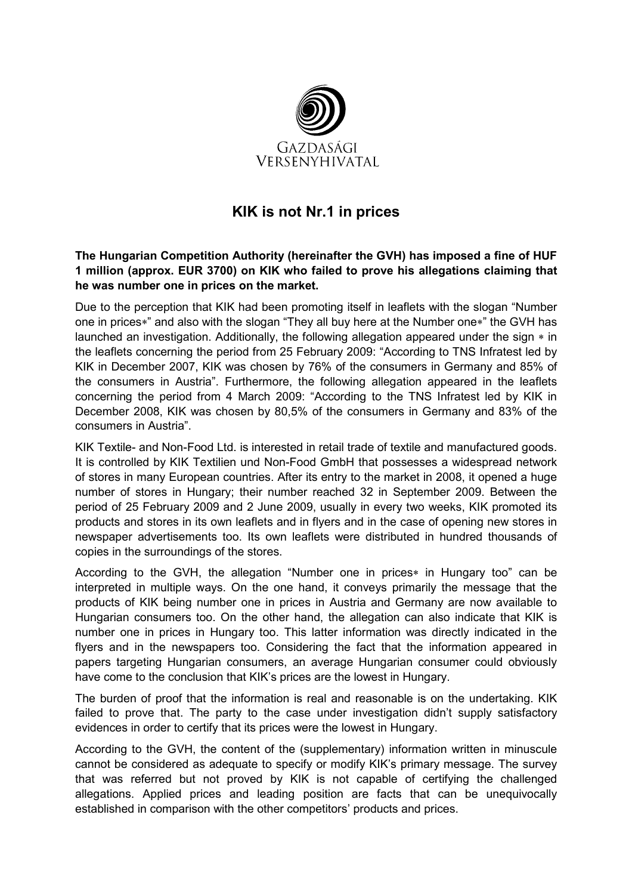

## KIK is not Nr.1 in prices

## The Hungarian Competition Authority (hereinafter the GVH) has imposed a fine of HUF 1 million (approx. EUR 3700) on KIK who failed to prove his allegations claiming that he was number one in prices on the market.

Due to the perception that KIK had been promoting itself in leaflets with the slogan "Number one in prices∗" and also with the slogan "They all buy here at the Number one∗" the GVH has launched an investigation. Additionally, the following allegation appeared under the sign ∗ in the leaflets concerning the period from 25 February 2009: "According to TNS Infratest led by KIK in December 2007, KIK was chosen by 76% of the consumers in Germany and 85% of the consumers in Austria". Furthermore, the following allegation appeared in the leaflets concerning the period from 4 March 2009: "According to the TNS Infratest led by KIK in December 2008, KIK was chosen by 80,5% of the consumers in Germany and 83% of the consumers in Austria".

KIK Textile- and Non-Food Ltd. is interested in retail trade of textile and manufactured goods. It is controlled by KIK Textilien und Non-Food GmbH that possesses a widespread network of stores in many European countries. After its entry to the market in 2008, it opened a huge number of stores in Hungary; their number reached 32 in September 2009. Between the period of 25 February 2009 and 2 June 2009, usually in every two weeks, KIK promoted its products and stores in its own leaflets and in flyers and in the case of opening new stores in newspaper advertisements too. Its own leaflets were distributed in hundred thousands of copies in the surroundings of the stores.

According to the GVH, the allegation "Number one in prices∗ in Hungary too" can be interpreted in multiple ways. On the one hand, it conveys primarily the message that the products of KIK being number one in prices in Austria and Germany are now available to Hungarian consumers too. On the other hand, the allegation can also indicate that KIK is number one in prices in Hungary too. This latter information was directly indicated in the flyers and in the newspapers too. Considering the fact that the information appeared in papers targeting Hungarian consumers, an average Hungarian consumer could obviously have come to the conclusion that KIK's prices are the lowest in Hungary.

The burden of proof that the information is real and reasonable is on the undertaking. KIK failed to prove that. The party to the case under investigation didn't supply satisfactory evidences in order to certify that its prices were the lowest in Hungary.

According to the GVH, the content of the (supplementary) information written in minuscule cannot be considered as adequate to specify or modify KIK's primary message. The survey that was referred but not proved by KIK is not capable of certifying the challenged allegations. Applied prices and leading position are facts that can be unequivocally established in comparison with the other competitors' products and prices.